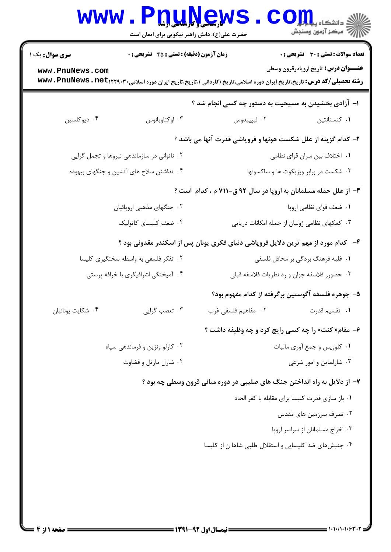|                                                                           | <b>WWW . P</b><br>حضرت علی(ع): دانش راهبر نیکویی برای ایمان است | <b>DUAYSM</b>                                                                                                                      | $\mathbf{COJJJ}$ دانشڪاه پيلو<br>رآ مرڪز آزمون وسنڊش                                        |  |
|---------------------------------------------------------------------------|-----------------------------------------------------------------|------------------------------------------------------------------------------------------------------------------------------------|---------------------------------------------------------------------------------------------|--|
| <b>سری سوال :</b> یک ۱<br>www.PnuNews.com                                 | زمان آزمون (دقیقه) : تستی : 45 آتشریحی : 0                      | <b>رشته تحصیلی/کد درس:</b> تاریخ،تاریخ ایران دوره اسلامی،تاریخ (کاردانی )،تاریخ،تاریخ ایران دوره اسلامی۲۲۹۰۳۰- www . PnuNews . net | <b>تعداد سوالات : تستی : 30 ٪ تشریحی : 0</b><br><b>عنـــوان درس:</b> تاریخ اروپادرقرون وسطی |  |
|                                                                           |                                                                 | ۱– آزادی بخشیدن به مسیحیت به دستور چه کسی انجام شد ؟                                                                               |                                                                                             |  |
| ۰۴ ديوكلسين                                                               | ۰۳ اوکتاویانوس                                                  | ۰۲ ليپييدوس                                                                                                                        | ٠١ كنستانتين                                                                                |  |
|                                                                           |                                                                 | ۲- کدام گزینه از علل شکست هونها و فروپاشی قدرت آنها می باشد ؟                                                                      |                                                                                             |  |
| ۰۲ ناتوانی در سازماندهی نیروها و تجمل گرایی                               |                                                                 | ۰۱ اختلاف بین سران قوای نظامی                                                                                                      |                                                                                             |  |
| ۰۴ نداشتن سلاح های آتشین و جنگهای بیهوده                                  |                                                                 | ۰۳ شکست در برابر ویزیگوت ها و ساکسونها                                                                                             |                                                                                             |  |
|                                                                           |                                                                 | ۳- از علل حمله مسلمانان به اروپا در سال ۹۲ ق-۷۱۱ م ، کدام است ؟                                                                    |                                                                                             |  |
|                                                                           | ۰۲ جنگهای مذهبی اروپائیان                                       |                                                                                                                                    | ۰۱ ضعف قوای نظامی اروپا                                                                     |  |
|                                                                           | ۰۴ ضعف کلیسای کاتولیک                                           | ۰۳ کمکهای نظامی ژولیان از جمله امکانات دریایی                                                                                      |                                                                                             |  |
|                                                                           |                                                                 | ۴–۔ کدام مورد از مهم ترین دلایل فروپاشی دنیای فکری یونان پس از اسکندر مقدونی بود ؟                                                 |                                                                                             |  |
| ۰۲ تفکر فلسفی به واسطه سختگیری کلیسا                                      |                                                                 | ۰۱ غلبه فرهنگ بردگی بر محافل فلسفی                                                                                                 |                                                                                             |  |
| ۰۴ آمیختگی اشرافیگری با خرافه پرستی                                       |                                                                 | ۰۳ حضورر فلاسفه جوان و رد نظریات فلاسفه قبلی                                                                                       |                                                                                             |  |
|                                                                           |                                                                 | ۵– جوهره فلسفه آگوستین برگرفته از کدام مفهوم بود؟                                                                                  |                                                                                             |  |
| ۰۴ شكايت يونانيان                                                         | ۰۳ تعصب گرايي                                                   | ۰۲ مفاهیم فلسفی غرب                                                                                                                | ۰۱ تقسیم قدرت                                                                               |  |
|                                                                           |                                                                 | ۶- مقام« کنت» را چه کسی رایج کرد و چه وظیفه داشت ؟                                                                                 |                                                                                             |  |
|                                                                           | ۰۲ کارلو ونژین و فرماندهی سپاه                                  | ٠١ كلوويس وجمع أورى ماليات                                                                                                         |                                                                                             |  |
| ۰۴ شارل مارتل و قضاوت                                                     |                                                                 | ۰۳ شارلماین و امور شرعی                                                                                                            |                                                                                             |  |
| ۷- از دلایل به راه انداختن جنگ های صلیبی در دوره میانی قرون وسطی چه بود ؟ |                                                                 |                                                                                                                                    |                                                                                             |  |
|                                                                           |                                                                 | ٠١ باز سازي قدرت كليسا براي مقابله با كفر الحاد                                                                                    |                                                                                             |  |
|                                                                           |                                                                 | ۰۲ تصرف سرزمین های مقدس                                                                                                            |                                                                                             |  |
|                                                                           |                                                                 |                                                                                                                                    | ۰۳ اخراج مسلمانان از سراسر اروپا                                                            |  |
|                                                                           |                                                                 | ۰۴ جنبش های ضد کلیسایی و استقلال طلبی شاها ن از کلیسا                                                                              |                                                                                             |  |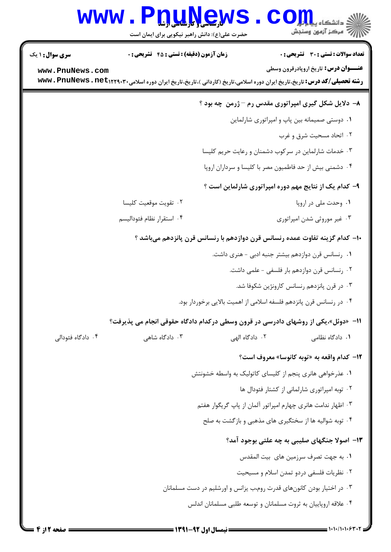## WWW.PnuNews.com حضرت علی(ع): دانش راهبر نیکویی برای ایمان است **تعداد سوالات : تستي : 30 ٪ تشريحي : 0 سری سوال : ۱ یک** زمان آزمون (دقيقه) : تستى : 45 گشريحى: 0 **عنـــوان درس:** تاریخ اروپادرقرون وسطی www.PnuNews.com **رشته تحصیلی/کد درس:** تاریخ،تاریخ ایران دوره اسلامی،تاریخ (کاردانی )،تاریخ،تاریخ ایران دوره اسلامی۲۲۹۰۳۰- www . PnuNews . net ۸- دلایل شکل گیری امپراتوری مقدس رم - ژرمن چه بود ؟ ۰۱ دوستی صمیمانه بین پاپ و امیراتوری شارلماین ۰۲ اتحاد مسحیت شرق و غرب ۰۳ خدمات شارلماین در سرکوب دشمنان و رعایت حریم کلیسا ۰۴ دشمنی بیش از حد فاطمیون مصر با کلیسا و سرداران اروپا ۹- کدام یک از نتایج مهم دوره امپراتوری شارلماین است ؟ ۰۱ وحدت ملي در اروپا ۰۲ تقويت موقعيت كليسا ۰۴ استقرار نظام فئوداليسم ۰۳ غیر موروثی شدن امیراتوری ∙ا− كدام گزينه تفاوت عمده رنسانس قرن دوازدهم با رنسانس قرن پانزدهم مىباشد ؟ ٠١. رنسانس قرن دوازدهم بيشتر جنبه ادبي – هنري داشت. ۰۲ رنسانس قرن دوازدهم بار فلسفی - علمی داشت. ۰۳ در قرن پانزدهم رنسانس کارونژین شکوفا شد. ۰۴ در رنسانس قرن پانزدهم فلسفه اسلامی از اهمیت بالایی برخوردار بود. 11- «دوئل»،یکی از روشهای دادرسی در قرون وسطی درکدام دادگاه حقوقی انجام می پذیرفت؟ ۲. دادگاه الهي ۰۴ دادگاه فئودالی ۰۳ دادگاه شاهی ۰۱ دادگاه نظامی 1۲- كدام واقعه به «توبه كانوسا» معروف است؟ ۰۱ عذرخواهی هانری پنجم از کلیسای کاتولیک به واسطه خشونتش ۲. توبه امیراتوری شارلمانی از کشتار فئودال ها ۰۳ اظهار ندامت هانری چهارم امیراتور آلمان از پاپ گریگوار هفتم ۰۴ توبه شوالیه ها از سختگیری های مذهبی و بازگشت به صلح ۱۳– اصولا جنگهای صلیبی به چه علتی بوجود آمد؟ ٠١. به جهت تصرف سرزمين هاي. بيت المقدس ٢. نظريات فلسفى دردو تمدن اسلام و مسيحيت ۰۳ در اختیار بودن کانونهای قدرت روم،ب پزانس و اورشلیم در دست مسلمانان ۰۴ علاقه اروپاییان به ثروت مسلمانان و توسعه طلبی مسلمانان اندلس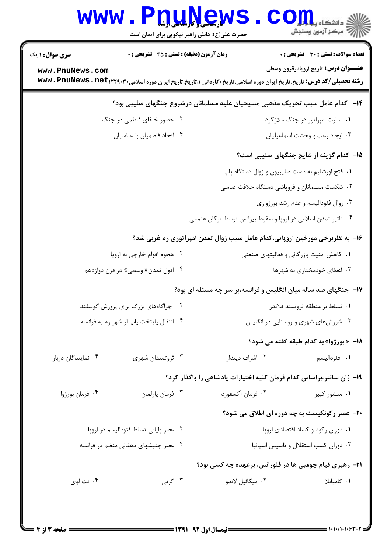| <b>WWW</b>                                                                  | <b>T.I. U.I.Y.G.W</b><br>حضرت علی(ع): دانش راهبر نیکویی برای ایمان است |                                                                                                                         | د دانشگاه پ <b>یا ب<sup>ا</sup>م ت<mark>و</mark>ر</b><br>رِ آزمون وسنڊش |  |  |
|-----------------------------------------------------------------------------|------------------------------------------------------------------------|-------------------------------------------------------------------------------------------------------------------------|-------------------------------------------------------------------------|--|--|
| <b>سری سوال : ۱ یک</b>                                                      | <b>زمان آزمون (دقیقه) : تستی : 45 تشریحی : 0</b>                       |                                                                                                                         | <b>تعداد سوالات : تستي : 30 ٪ تشريحي : 0</b>                            |  |  |
| www.PnuNews.com                                                             |                                                                        | <b>رشته تحصیلی/کد درس:</b> تاریخ،تاریخ ایران دوره اسلامی،تاریخ (کاردانی )،تاریخ،تاریخ ایران دوره اسلامی۲۲۹۰۳۰+۱۲۲۹۲ Www | <b>عنـــوان درس:</b> تاریخ اروپادرقرون وسطی                             |  |  |
|                                                                             |                                                                        | ۱۴– کدام عامل سبب تحریک مذهبی مسیحیان علیه مسلمانان درشروع جنگهای صلیبی بود؟                                            |                                                                         |  |  |
|                                                                             | ٠١ اسارت امپراتور در جنگ ملازگرد<br>۰۲ حضور خلفای فاطمی در جنگ         |                                                                                                                         |                                                                         |  |  |
| ۰۴ اتحاد فاطميان با عباسيان                                                 |                                                                        |                                                                                                                         | ۰۳ ایجاد رعب و وحشت اسماعیلیان                                          |  |  |
|                                                                             |                                                                        |                                                                                                                         | 1۵– کدام گزینه از نتایج جنگهای صلیبی است؟                               |  |  |
|                                                                             |                                                                        | ٠١. فتح اورشليم به دست صليبيون و زوال دستگاه پاپ                                                                        |                                                                         |  |  |
|                                                                             |                                                                        | ۰۲ شکست مسلمانان و فروپاشی دستگاه خلافت عباسی                                                                           |                                                                         |  |  |
|                                                                             |                                                                        |                                                                                                                         | ۰۳ زوال فئوداليسم و عدم رشد بورژوازي                                    |  |  |
| ۰۴ تاثیر تمدن اسلامی در اروپا و سقوط بیزانس توسط ترکان عثمانی               |                                                                        |                                                                                                                         |                                                                         |  |  |
| ۱۶- به نظربرخی مورخین اروپایی،کدام عامل سبب زوال تمدن امپراتوری رم غربی شد؟ |                                                                        |                                                                                                                         |                                                                         |  |  |
|                                                                             | ۰۲ هجوم اقوام خارجي به اروپا                                           |                                                                                                                         | ۰۱ کاهش امنیت بازرگانی و فعالیتهای صنعتی                                |  |  |
| ۰۴ افول تمدن« وسطى» در قرن دوازدهم                                          |                                                                        | ۰۳ اعطای خودمختاری به شهرها                                                                                             |                                                                         |  |  |
|                                                                             | ۱۷- جنگهای صد ساله میان انگلیس و فرانسه،بر سر چه مسئله ای بود؟         |                                                                                                                         |                                                                         |  |  |
| ۰۲ چراگاههای بزرگ برای پرورش گوسفند                                         |                                                                        | ٠١ تسلط بر منطقه ثروتمند فلاندر                                                                                         |                                                                         |  |  |
| ۰۴ انتقال پایتخت پاپ از شهر رم به فرانسه                                    |                                                                        | ۰۳ شورشهای شهری و روستایی در انگلیس                                                                                     |                                                                         |  |  |
|                                                                             |                                                                        |                                                                                                                         | 18- « بورژوا» به کدام طبقه گفته می شود؟                                 |  |  |
| ۰۴ نمایندگان دربار                                                          | ۰۳ ثروتمندان شهری                                                      | ۰۲ اشراف دیندار                                                                                                         | ۰۱ فئوداليسم                                                            |  |  |
|                                                                             | ۱۹- ژان سانتر،براساس کدام فرمان کلیه اختیارات پادشاهی را واگذار کرد؟   |                                                                                                                         |                                                                         |  |  |
| ۰۴ فرمان بورژوا                                                             | ۰۳ فرمان پارلمان                                                       | ۰۲ فرمان آکسفورد                                                                                                        | ۰۱ منشور کبیر                                                           |  |  |
|                                                                             |                                                                        |                                                                                                                         | ۲۰- عصر رکونکیست به چه دوره ای اطلاق می شود؟                            |  |  |
| ٠٢ عصر پاياني تسلط فئوداليسم در اروپا                                       |                                                                        | ۰۱ دوران رکود و کساد اقتصادی اروپا                                                                                      |                                                                         |  |  |
| ۰۴ عصر جنبشهای دهقانی منظم در فرانسه                                        |                                                                        |                                                                                                                         | ٠٣ دوران كسب استقلال وتاسيس اسپانيا                                     |  |  |
|                                                                             |                                                                        | <b>۲۱</b> - رهبری قیام چومبی ها در فلورانس، برعهده چه کسی بود؟                                                          |                                                                         |  |  |
| ۰۴ تت لوی                                                                   | ۰۳ کرنی                                                                | ٢. ميكائيل لاندو                                                                                                        | ٠١. كامپانلا                                                            |  |  |
|                                                                             |                                                                        |                                                                                                                         |                                                                         |  |  |